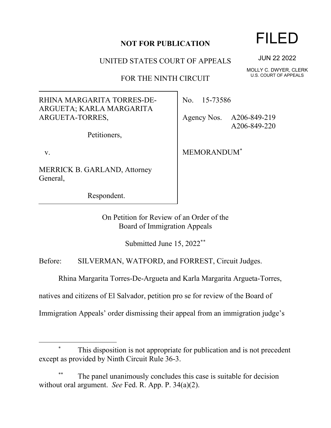## **NOT FOR PUBLICATION**

UNITED STATES COURT OF APPEALS

FOR THE NINTH CIRCUIT

RHINA MARGARITA TORRES-DE-ARGUETA; KARLA MARGARITA ARGUETA-TORRES,

Petitioners,

v.

MERRICK B. GARLAND, Attorney General,

Respondent.

No. 15-73586

Agency Nos. A206-849-219 A206-849-220

MEMORANDUM[\\*](#page-0-0)

On Petition for Review of an Order of the Board of Immigration Appeals

Submitted June 15, 2022\*[\\*](#page-0-1)

Before: SILVERMAN, WATFORD, and FORREST, Circuit Judges.

Rhina Margarita Torres-De-Argueta and Karla Margarita Argueta-Torres,

natives and citizens of El Salvador, petition pro se for review of the Board of

Immigration Appeals' order dismissing their appeal from an immigration judge's

## <span id="page-0-0"></span>This disposition is not appropriate for publication and is not precedent except as provided by Ninth Circuit Rule 36-3.

<span id="page-0-1"></span>The panel unanimously concludes this case is suitable for decision without oral argument. *See* Fed. R. App. P. 34(a)(2).

## FILED

JUN 22 2022

MOLLY C. DWYER, CLERK U.S. COURT OF APPEALS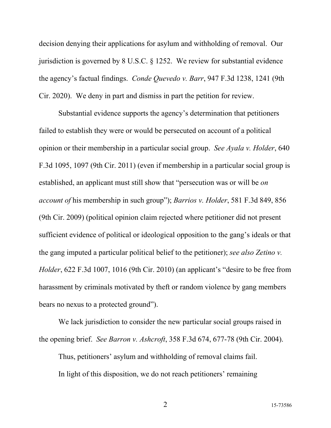decision denying their applications for asylum and withholding of removal. Our jurisdiction is governed by 8 U.S.C. § 1252. We review for substantial evidence the agency's factual findings. *Conde Quevedo v. Barr*, 947 F.3d 1238, 1241 (9th Cir. 2020). We deny in part and dismiss in part the petition for review.

Substantial evidence supports the agency's determination that petitioners failed to establish they were or would be persecuted on account of a political opinion or their membership in a particular social group. *See Ayala v. Holder*, 640 F.3d 1095, 1097 (9th Cir. 2011) (even if membership in a particular social group is established, an applicant must still show that "persecution was or will be *on account of* his membership in such group"); *Barrios v. Holder*, 581 F.3d 849, 856 (9th Cir. 2009) (political opinion claim rejected where petitioner did not present sufficient evidence of political or ideological opposition to the gang's ideals or that the gang imputed a particular political belief to the petitioner); *see also Zetino v. Holder*, 622 F.3d 1007, 1016 (9th Cir. 2010) (an applicant's "desire to be free from harassment by criminals motivated by theft or random violence by gang members bears no nexus to a protected ground").

We lack jurisdiction to consider the new particular social groups raised in the opening brief. *See Barron v. Ashcroft*, 358 F.3d 674, 677-78 (9th Cir. 2004).

Thus, petitioners' asylum and withholding of removal claims fail. In light of this disposition, we do not reach petitioners' remaining